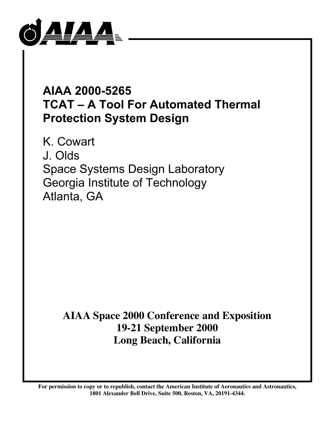

# **AIAA 2000-5265 TCAT – A Tool For Automated Thermal Protection System Design**

K. Cowart J. Olds Space Systems Design Laboratory Georgia Institute of Technology Atlanta, GA

> **AIAA Space 2000 Conference and Exposition 19-21 September 2000 Long Beach, California**

**For permission to copy or to republish, contact the American Institute of Aeronautics and Astronautics, 1801 Alexander Bell Drive, Suite 500, Reston, VA, 20191-4344.**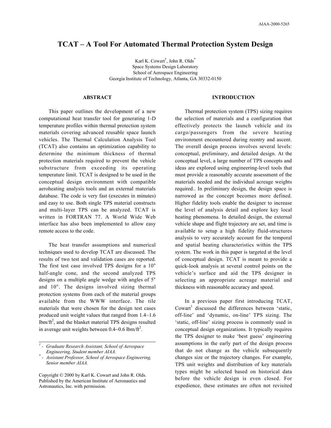## **TCAT – A Tool For Automated Thermal Protection System Design**

Karl K. Cowart† , John R. Olds\* Space Systems Design Laboratory School of Aerospace Engineering Georgia Institute of Technology, Atlanta, GA 30332-0150

## **ABSTRACT**

This paper outlines the development of a new computational heat transfer tool for generating 1-D temperature profiles within thermal protection system materials covering advanced reusable space launch vehicles. The Thermal Calculation Analysis Tool (TCAT) also contains an optimization capability to determine the minimum thickness of thermal protection materials required to prevent the vehicle substructure from exceeding its operating temperature limit. TCAT is designed to be used in the conceptual design environment with compatible aeroheating analysis tools and an external materials database. The code is very fast (executes in minutes) and easy to use. Both single TPS material constructs and multi-layer TPS can be analyzed. TCAT is written in FORTRAN 77. A World Wide Web interface has also been implemented to allow easy remote access to the code.

The heat transfer assumptions and numerical techniques used to develop TCAT are discussed. The results of two test and validation cases are reported. The first test case involved TPS designs for a 10° half-angle cone, and the second analyzed TPS designs on a multiple angle wedge with angles of 5° and 10°. The designs involved sizing thermal protection systems from each of the material groups available from the WWW interface. The tile materials that were chosen for the design test cases produced unit weight values that ranged from 1.4~1.6  $\text{lbm/ft}^2$ , and the blanket material TPS designs resulted in average unit weights between  $0.4 \sim 0.6$  lbm/ft<sup>2</sup>.

Copyright © 2000 by Karl K. Cowart and John R. Olds. Published by the American Institute of Aeronautics and Astronautics, Inc. with permission.

#### **INTRODUCTION**

Thermal protection system (TPS) sizing requires the selection of materials and a configuration that effectively protects the launch vehicle and its cargo/passengers from the severe heating environment encountered during reentry and ascent. The overall design process involves several levels: conceptual, preliminary, and detailed design. At the conceptual level, a large number of TPS concepts and ideas are explored using engineering-level tools that must provide a reasonably accurate assessment of the materials needed and the individual acreage weights required.. In preliminary design, the design space is narrowed as the concept becomes more defined. Higher fidelity tools enable the designer to increase the level of analysis detail and explore key local heating phenomena. In detailed design, the external vehicle shape and flight trajectory are set, and time is available to setup a high fidelity fluid-structures analysis to very accurately account for the temporal and spatial heating characteristics within the TPS system. The work in this paper is targeted at the level of conceptual design. TCAT is meant to provide a quick-look analysis at several control points on the vehicle's surface and aid the TPS designer in selecting an appropriate acreage material and thickness with reasonable accuracy and speed.

In a previous paper first introducing TCAT,  $C$ owart<sup>1</sup> discussed the differences between 'static, off-line' and 'dynamic, on-line' TPS sizing. The 'static, off-line' sizing process is commonly used in conceptual design organizations. It typically requires the TPS designer to make 'best guess' engineering assumptions in the early part of the design process that do not change as the vehicle subsequently changes size or the trajectory changes. For example, TPS unit weights and distribution of key materials types might be selected based on historical data before the vehicle design is even closed. For expedience, these estimates are often not revisited

*<sup>†</sup> - Graduate Research Assistant, School of Aerospace Engineering, Student member AIAA. \**

 *<sup>-</sup> Assistant Professor, School of Aerospace Engineering, Senior member AIAA.*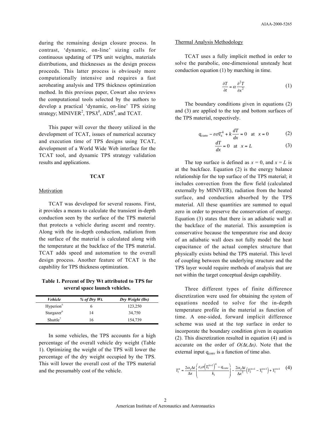during the remaining design closure process. In contrast, 'dynamic, on-line' sizing calls for continuous updating of TPS unit weights, materials distributions, and thicknesses as the design process proceeds. This latter process is obviously more computationally intensive and requires a fast aeroheating analysis and TPS thickness optimization method. In this previous paper, Cowart also reviews the computational tools selected by the authors to develop a practical 'dynamic, on-line' TPS sizing strategy: MINIVER<sup>2</sup>,  $TPS X^3$ ,  $ADS^4$ , and TCAT.

This paper will cover the theory utilized in the development of TCAT, issues of numerical accuracy and execution time of TPS designs using TCAT, development of a World Wide Web interface for the TCAT tool, and dynamic TPS strategy validation results and applications.

#### **TCAT**

#### **Motivation**

TCAT was developed for several reasons. First, it provides a means to calculate the transient in-depth conduction seen by the surface of the TPS material that protects a vehicle during ascent and reentry. Along with the in-depth conduction, radiation from the surface of the material is calculated along with the temperature at the backface of the TPS material. TCAT adds speed and automation to the overall design process. Another feature of TCAT is the capability for TPS thickness optimization.

**Table 1. Percent of Dry Wt attributed to TPS for several space launch vehicles.**

| <i>Vehicle</i>         | % of Dry Wt. | Dry Weight (lbs) |  |
|------------------------|--------------|------------------|--|
| Hyperion <sup>5</sup>  | n            | 123,250          |  |
| Stargazer <sup>6</sup> | 14           | 34,750           |  |
| Shuttle <sup>7</sup>   | 16           | 154,739          |  |

In some vehicles, the TPS accounts for a high percentage of the overall vehicle dry weight (Table 1). Optimizing the weight of the TPS will lower the percentage of the dry weight occupied by the TPS. This will lower the overall cost of the TPS material and the presumably cost of the vehicle.

#### Thermal Analysis Methodology

TCAT uses a fully implicit method in order to solve the parabolic, one-dimensional unsteady heat conduction equation (1) by marching in time.

$$
\frac{\partial T}{\partial t} = \alpha \frac{\partial^2 T}{\partial x^2} \tag{1}
$$

The boundary conditions given in equations (2) and (3) are applied to the top and bottom surfaces of the TPS material, respectively.

$$
q_{conv} - \varepsilon \sigma T_s^4 + k \frac{dT}{dx} = 0 \quad \text{at} \quad x = 0 \tag{2}
$$

$$
\frac{dT}{dx} = 0 \quad \text{at} \quad x = L \tag{3}
$$

The top surface is defined as  $x = 0$ , and  $x = L$  is at the backface. Equation (2) is the energy balance relationship for the top surface of the TPS material; it includes convection from the flow field (calculated externally by MINIVER), radiation from the heated surface, and conduction absorbed by the TPS material. All these quantities are summed to equal zero in order to preserve the conservation of energy. Equation (3) states that there is an adiabatic wall at the backface of the material. This assumption is conservative because the temperature rise and decay of an adiabatic wall does not fully model the heat capacitance of the actual complex structure that physically exists behind the TPS material. This level of coupling between the underlying structure and the TPS layer would require methods of analysis that are not within the target conceptual design capability.

Three different types of finite difference discretization were used for obtaining the system of equations needed to solve for the in-depth temperature profile in the material as function of time. A one-sided, forward implicit difference scheme was used at the top surface in order to incorporate the boundary condition given in equation (2). This discretization resulted in equation (4) and is accurate on the order of  $O(\Delta t, \Delta x)$ . Note that the external input  $q_{conv}$  is a function of time also.

$$
T_1^n = \frac{2\alpha_1 \Delta t}{\Delta x} \left( \frac{\varepsilon_1 \sigma (T_1^{n+1})^4 - q_{conv}}{k_1} \right) - \frac{2\alpha_1 \Delta t}{\Delta x^2} (T_2^{n+1} - T_1^{n+1}) + T_1^{n+1} \tag{4}
$$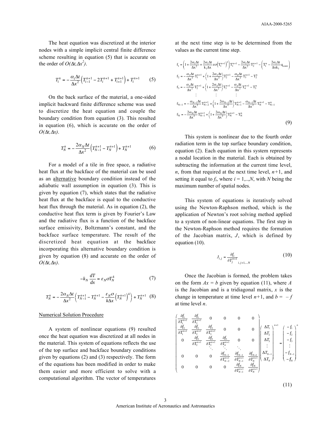The heat equation was discretized at the interior nodes with a simple implicit central finite difference scheme resulting in equation (5) that is accurate on the order of  $O(\Delta t, \Delta x^2)$ .

$$
T_i^n = -\frac{\alpha_i \Delta t}{\Delta x^2} \Big( T_{i-1}^{n+1} - 2T_i^{n+1} + T_{i+1}^{n+1} \Big) + T_i^{n+1} \tag{5}
$$

On the back surface of the material, a one-sided implicit backward finite difference scheme was used to discretize the heat equation and couple the boundary condition from equation (3). This resulted in equation (6), which is accurate on the order of  $O(\Delta t, \Delta x)$ .

$$
T_N^n = -\frac{2\alpha_N \Delta t}{\Delta x^2} \Big( T_{N-1}^{n+1} - T_N^{n+1} \Big) + T_N^{n+1} \tag{6}
$$

For a model of a tile in free space, a radiative heat flux at the backface of the material can be used as an alternative boundary condition instead of the adiabatic wall assumption in equation (3). This is given by equation (7), which states that the radiative heat flux at the backface is equal to the conductive heat flux through the material. As in equation (2), the conductive heat flux term is given by Fourier's Law and the radiative flux is a function of the backface surface emissivity, Boltzmann's constant, and the backface surface temperature. The result of the discretized heat equation at the backface incorporating this alternative boundary condition is given by equation (8) and accurate on the order of  $O(\Delta t, \Delta x)$ .

$$
-k_N \frac{dT}{dx} = \varepsilon_N \sigma T_N^4 \tag{7}
$$

$$
T_N^n = -\frac{2\alpha_N \Delta t}{\Delta x^2} \left( T_{N-1}^{n+1} - T_N^{n+1} - \frac{\varepsilon_N \sigma}{k \Delta x} \left( T_N^{n+1} \right)^4 \right) + T_N^{n+1} \quad (8)
$$

#### Numerical Solution Procedure

A system of nonlinear equations (9) resulted once the heat equation was discretized at all nodes in the material. This system of equations reflects the use of the top surface and backface boundary conditions given by equations (2) and (3) respectively. The form of the equations has been modified in order to make them easier and more efficient to solve with a computational algorithm. The vector of temperatures at the next time step is to be determined from the values as the current time step.

$$
f_{1} = \left(1 + \frac{2\alpha_{1}\Delta t}{\Delta x^{2}} + \frac{2\alpha_{1}\Delta t}{k_{1}\Delta x} \exp\left(T_{1}^{n+1}\right)^{3}\right) T_{1}^{n+1} - \frac{2\alpha_{1}\Delta t}{\Delta x^{2}} T_{2}^{n+1} - \left(T_{1}^{n} - \frac{2\alpha_{1}\Delta t}{\Delta xk_{1}} q_{conv}\right)
$$
  
\n
$$
f_{2} = -\frac{\alpha_{2}\Delta t}{\Delta x^{2}} T_{1}^{n+1} + \left(1 + \frac{2\alpha_{2}\Delta t}{\Delta x^{2}}\right) T_{2}^{n+1} - \frac{\alpha_{2}\Delta t}{\Delta x^{2}} T_{3}^{n+1} - T_{2}^{n}
$$
  
\n
$$
f_{3} = -\frac{\alpha_{3}\Delta t}{\Delta x^{2}} T_{2}^{n+1} + \left(1 + \frac{2\alpha_{3}\Delta t}{\Delta x^{2}}\right) T_{3}^{n+1} - \frac{\alpha_{3}\Delta t}{\Delta x^{2}} T_{4}^{n+1} - T_{3}^{n}
$$
  
\n
$$
\vdots \qquad \vdots \qquad \vdots
$$
  
\n
$$
f_{N-1} = -\frac{\alpha_{N-1}\Delta t}{\Delta x^{2}} T_{N-2}^{n+1} + \left(1 + \frac{2\alpha_{N-1}\Delta t}{\Delta x^{2}}\right) T_{N-1}^{n+1} - \frac{\alpha_{N-1}\Delta t}{\Delta x^{2}} T_{N}^{n+1} - T_{N-1}^{n}
$$
  
\n
$$
f_{N} = -\frac{2\alpha_{N}\Delta t}{\Delta x^{2}} T_{N-1}^{n+1} + \left(1 + \frac{2\alpha_{N}\Delta t}{\Delta x^{2}}\right) T_{N}^{n+1} - T_{N}^{n}
$$
  
\n(9)

This system is nonlinear due to the fourth order radiation term in the top surface boundary condition, equation (2). Each equation in this system represents a nodal location in the material. Each is obtained by subtracting the information at the current time level, *n*, from that required at the next time level, *n+*1, and setting it equal to  $f_i$ , where  $i = 1,...,N$ , with *N* being the maximum number of spatial nodes.

This system of equations is iteratively solved using the Newton-Raphson method, which is the application of Newton's root solving method applied to a system of non-linear equations. The first step in the Newton-Raphson method requires the formation of the Jacobian matrix, *J*, which is defined by equation (10).

$$
J_{i,j} = \frac{\partial f_i}{\partial T_j^{n+1}}_{i,j=1,\ldots,N} \tag{10}
$$

Once the Jacobian is formed, the problem takes on the form  $Ax = b$  given by equation (11), where *A* is the Jacobian and is a tridiagonal matrix, *x* is the change in temperature at time level  $n+1$ , and  $b = -f$ at time level *n*.

$$
\begin{pmatrix}\n\frac{\partial f_1}{\partial T_1^{n+1}} & \frac{\partial f_1}{\partial T_2^{n+1}} & 0 & 0 & 0 & 0 \\
\frac{\partial f_2}{\partial T_1^{n+1}} & \frac{\partial f_2}{\partial T_2^{n+1}} & \frac{\partial f_2}{\partial T_3^{n+1}} & 0 & 0 & 0 \\
0 & \frac{\partial f_3}{\partial T_2^{n+1}} & \frac{\partial f_3}{\partial T_3^{n+1}} & \frac{\partial f_3}{\partial T_4^{n+1}} & 0 & 0 \\
\vdots & \vdots & \vdots & \ddots & \vdots \\
0 & 0 & 0 & \frac{\partial f_{N-1}}{\partial T_{N-1}^{n+1}} & \frac{\partial f_{N-1}}{\partial T_{N-1}^{n+1}} & \frac{\partial f_{N-1}}{\partial T_N^{n+1}} \\
0 & 0 & 0 & 0 & \frac{\partial f_N}{\partial T_{N-1}^{n+1}} & \frac{\partial f_{N-1}}{\partial T_N^{n+1}}\n\end{pmatrix}\n\begin{pmatrix}\n\Delta T_1 \\ \Delta T_2 \\ \vdots \\ \Delta T_{N-1} \\ \Delta T_{N-1} \\ \Delta T_{N} \\ \Delta T_{N} \\ \Delta T_{N} \\ \end{pmatrix} = \begin{pmatrix}\n-f_1 \\ -f_2 \\ -f_3 \\ \vdots \\ -f_{N-1} \\ -f_N \end{pmatrix}
$$

(11)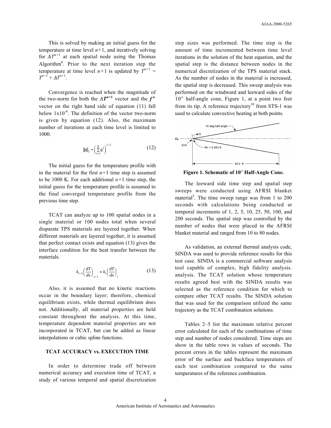This is solved by making an initial guess for the temperature at time level  $n+1$ , and iteratively solving for  $\Lambda T^{n+1}$  at each spatial node using the Thomas Algorithm<sup>8</sup>. Prior to the next iteration step the temperature at time level  $n+1$  is updated by  $T^{n+1}$  $T^{n+1} + \Delta T^{n+1}$ .

Convergence is reached when the magnitude of the two-norm for both the  $\Lambda T^{n+1}$  vector and the  $f^n$ vector on the right hand side of equation (11) fall below  $1x10^{-6}$ . The definition of the vector two-norm is given by equation (12). Also, the maximum number of iterations at each time level is limited to 1000.

$$
||g||_2 = \left(\sum_{i=1}^{N} g_i^2\right)^{1/2} \tag{12}
$$

The initial guess for the temperature profile with in the material for the first  $n+1$  time step is assumed to be 1000 K. For each additional  $n+1$  time step, the initial guess for the temperature profile is assumed to the final converged temperature profile from the previous time step.

TCAT can analyze up to 100 spatial nodes in a single material or 100 nodes total when several disparate TPS materials are layered together. When different materials are layered together, it is assumed that perfect contact exists and equation (13) gives the interface condition for the heat transfer between the materials.

$$
k_{i-1} \left(\frac{dT}{dx}\right)_{i-1} = k_i \left(\frac{dT}{dx}\right)_i \tag{13}
$$

Also, it is assumed that no kinetic reactions occur in the boundary layer; therefore, chemical equilibrium exists, while thermal equilibrium does not. Additionally, all material properties are held constant throughout the analysis. At this time, temperature dependent material properties are not incorporated in TCAT, but can be added as linear interpolations or cubic spline functions.

## **TCAT ACCURACY vs. EXECUTION TIME**

In order to determine trade off between numerical accuracy and execution time of TCAT, a study of various temporal and spatial discretization step sizes was performed. The time step is the amount of time incremented between time level iterations in the solution of the heat equation, and the spatial step is the distance between nodes in the numerical discretization of the TPS material stack. As the number of nodes in the material is increased, the spatial step is decreased. This sweep analysis was performed on the windward and leeward sides of the 10° half-angle cone, Figure 1, at a point two feet from its tip. A reference trajectory<sup>10</sup> from STS-1 was used to calculate convective heating at both points.



**Figure 1. Schematic of 10**° **Half-Angle Cone.**

The leeward side time step and spatial step sweeps were conducted using AFRSI blanket material<sup>3</sup>. The time sweep range was from 1 to 200 seconds with calculations being conducted at temporal increments of 1, 2, 5, 10, 25, 50, 100, and 200 seconds. The spatial step was controlled by the number of nodes that were placed in the AFRSI blanket material and ranged from 10 to 80 nodes.

As validation, an external thermal analysis code, SINDA was used to provide reference results for this test case. SINDA is a commercial software analysis tool capable of complex, high fidelity analysis. analysis. The TCAT solution whose temperature results agreed best with the SINDA results was selected as the reference condition for which to compare other TCAT results. The SINDA solution that was used for the comparison utilized the same trajectory as the TCAT combination solutions.

Tables 2–5 list the maximum relative percent error calculated for each of the combinations of time step and number of nodes considered. Time steps are show in the table rows in values of seconds. The percent errors in the tables represent the maximum error of the surface and backface temperatures of each test combination compared to the same temperatures of the reference combination.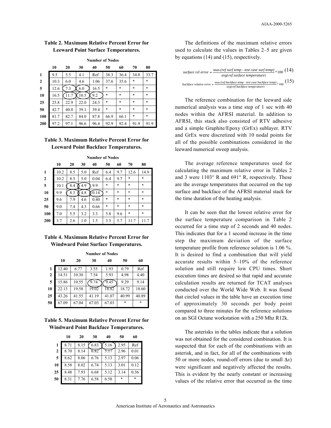|              | гчиност от губису |      |      |      |        |        |        |        |
|--------------|-------------------|------|------|------|--------|--------|--------|--------|
|              | 10                | 20   | 30   | 40   | 50     | 60     | 70     | 80     |
| 1            | 9.5               | 5.5  | 4.1  | Ref  | 38.3   | 36.4   | 34.8   | 33.7   |
| $\mathbf{2}$ | 10.3              | 6.0  | 4.6  | 1.06 | 37.6   | 35.6   | $\ast$ | $\ast$ |
| 5            | 12.6              | 7.3  | 6.0  | 16.5 | $\ast$ | $\ast$ | $\ast$ | $\ast$ |
| 10           | 16.5              | 11.7 | 10.5 | 9.2  | $\ast$ | $\ast$ | $\ast$ | $\ast$ |
| 25           | 25.8              | 22.9 | 22.0 | 24.3 | $\ast$ | $\ast$ | $\ast$ | $\ast$ |
| 50           | 42.7              | 40.0 | 39.1 | 39.4 | $\ast$ | $\ast$ | $\ast$ | $\ast$ |
| 100          | 81.7              | 82.7 | 84.0 | 87.8 | 66.9   | 66.1   | $\ast$ | $\ast$ |
| 200          | 97.2              | 97.1 | 96.6 | 96.4 | 92.9   | 92.4   | 91.9   | 91.9   |

## **Table 2. Maximum Relative Percent Error for Leeward Point Surface Temperatures.**

**Number of Nodes**

## **Table 3. Maximum Relative Percent Error for Leeward Point Backface Temperatures.**

**Number of Nodes**

|                | 10   | 20  | 30  | 40   | 50     | 60     | 70     | 80     |
|----------------|------|-----|-----|------|--------|--------|--------|--------|
| $\mathbf{1}$   | 10.2 | 8.5 | 5.0 | Ref  | 6.4    | 9.7    | 12.6   | 14.9   |
| $\overline{2}$ | 10.2 | 8.5 | 5.0 | 0.04 | 6.4    | 9.7    | *      | $\ast$ |
| 5              | 10.1 | 8.4 | 4.9 | 9.9  | $\ast$ | *      | $\ast$ | $\ast$ |
| 10             | 9.9  | 8.3 | 4.8 | 0.14 | $\ast$ | $\ast$ | *      | $\ast$ |
| 25             | 9.6  | 7.9 | 4.6 | 0.40 | $\ast$ | *      | $\ast$ | $\ast$ |
| 50             | 9.0  | 7.4 | 4.3 | 0.66 | $\ast$ | *      | *      | *      |
| 100            | 7.0  | 5.5 | 3.2 | 3.3  | 5.8    | 9.6    | *      | $\ast$ |
| 200            | 3.7  | 2.6 | 1.0 | 1.5  | 3.5    | 5.7    | 11.7   | 11.7   |

## **Table 4. Maximum Relative Percent Error for Windward Point Surface Temperatures.**

| <b>Number of Nodes</b> |  |  |
|------------------------|--|--|
|                        |  |  |

|                | 10    | 20    | 30    | 40    | 50     | 60     |
|----------------|-------|-------|-------|-------|--------|--------|
| 1              | 12.40 | 6.77  | 3.55  | 1.93  | 0.79   | Ref    |
| $\overline{2}$ | 14.51 | 10.30 | 7.54  | 5.93  | 4.98   | 4.40   |
| 5              | 15.86 | 10.55 | 9.74  | 9.45  | 9.29   | 9.14   |
| 10             | 22.13 | 19.58 | 19.02 | 18.82 | 18.72  | 18.60  |
| 25             | 43.26 | 41.55 | 41.19 | 41.07 | 40.99  | 40.89  |
| 50             | 67.09 | 67.04 | 67.03 | 67.03 | $\ast$ | $\ast$ |

**Table 5. Maximum Relative Percent Error for Windward Point Backface Temperatures.**

|                | 10   | 20   | 30                | 40   | 50     | 60     |
|----------------|------|------|-------------------|------|--------|--------|
| $\mathbf{1}$   | 8.71 | 8.15 | $6.83\sqrt{5.16}$ |      | 2.95   | Ref    |
| $\overline{2}$ | 8.70 | 8.14 | 6.82              |      | 2.96   | 0.01   |
| 5              | 8.62 | 8.06 | 6.76              | 5.13 | 2.97   | 0.06   |
| 10             | 8.58 | 8.02 | 6.74              | 5.13 | 3.01   | 0.12   |
| 25             | 8.48 | 7.93 | 6.68              | 5.12 | 3.14   | 0.36   |
| 50             | 8.31 | 7.76 | 6.58              | 6.58 | $\ast$ | $\ast$ |

The definitions of the maximum relative errors used to calculate the values in Tables 2–5 are given by equations (14) and (15), respectively.

| surface rel error $=$       | $\frac{\text{max}(ref \text{ surf temp - test case surf temp)}{100}(14)$<br>avg(ref surface temperature)                           |
|-----------------------------|------------------------------------------------------------------------------------------------------------------------------------|
| backface relative error $=$ | $\frac{\max(\text{ref backface temp - test case backface temp})}{\max(\text{ref backface temp})}$<br>avg(ref backface temperature) |

The reference combination for the leeward side numerical analysis was a time step of 1 sec with 40 nodes within the AFRSI material. In addition to AFRSI, this stack also consisted of RTV adhesive and a simple Graphite/Epoxy (GrEx) sublayer. RTV and GrEx were discretized with 10 nodal points for all of the possible combinations considered in the leeward numerical sweep analysis.

The average reference temperatures used for calculating the maximum relative error in Tables 2 and 3 were 1103° R and 691° R, respectively. These are the average temperatures that occurred on the top surface and backface of the AFRSI material stack for the time duration of the heating analysis.

It can be seen that the lowest relative error for the surface temperature comparison in Table 2 occurred for a time step of 2 seconds and 40 nodes. This indicates that for a 1 second increase in the time step the maximum deviation of the surface temperature profile from reference solution is 1.06 %. It is desired to find a combination that will yield accurate results within 5–10% of the reference solution and still require low CPU times. Short execution times are desired so that rapid and accurate calculation results are returned for TCAT analyses conducted over the World Wide Web. It was found that circled values in the table have an execution time of approximately 30 seconds per body point compared to three minutes for the reference solutions on an SGI Octane workstation with a 250 Mhz R12k.

The asterisks in the tables indicate that a solution was not obtained for the considered combination. It is suspected that for each of the combinations with an asterisk, and in fact, for all of the combinations with 50 or more nodes, round-off errors (due to small  $\Delta x$ ) were significant and negatively affected the results. This is evident by the nearly constant or increasing values of the relative error that occurred as the time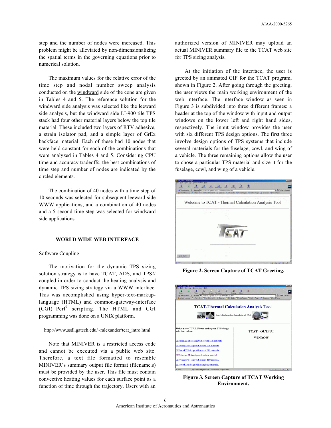step and the number of nodes were increased. This problem might be alleviated by non-dimensionalizing the spatial terms in the governing equations prior to numerical solution.

The maximum values for the relative error of the time step and nodal number sweep analysis conducted on the windward side of the cone are given in Tables 4 and 5. The reference solution for the windward side analysis was selected like the leeward side analysis, but the windward side LI-900 tile TPS stack had four other material layers below the top tile material. These included two layers of RTV adhesive, a strain isolator pad, and a simple layer of GrEx backface material. Each of these had 10 nodes that were held constant for each of the combinations that were analyzed in Tables 4 and 5. Considering CPU time and accuracy tradeoffs, the best combinations of time step and number of nodes are indicated by the circled elements.

The combination of 40 nodes with a time step of 10 seconds was selected for subsequent leeward side WWW applications, and a combination of 40 nodes and a 5 second time step was selected for windward side applications.

#### **WORLD WIDE WEB INTERFACE**

#### Software Coupling

The motivation for the dynamic TPS sizing solution strategy is to have TCAT, ADS, and TPS*X* coupled in order to conduct the heating analysis and dynamic TPS sizing strategy via a WWW interface. This was accomplished using hyper-text-markuplanguage (HTML) and common-gateway-interface  $(CGI)$  Perl<sup>9</sup> scripting. The HTML and CGI programming was done on a UNIX platform.

#### http://www.ssdl.gatech.edu/~ralexander/tcat\_intro.html

Note that MINIVER is a restricted access code and cannot be executed via a public web site. Therefore, a text file formatted to resemble MINIVER's summary output file format (filename.s) must be provided by the user. This file must contain convective heating values for each surface point as a function of time through the trajectory. Users with an authorized version of MINIVER may upload an actual MINIVER summary file to the TCAT web site for TPS sizing analysis.

At the initiation of the interface, the user is greeted by an animated GIF for the TCAT program, shown in Figure 2. After going through the greeting, the user views the main working environment of the web interface. The interface window as seen in Figure 3 is subdivided into three different frames: a header at the top of the window with input and output windows on the lower left and right hand sides, respectively. The input window provides the user with six different TPS design options. The first three involve design options of TPS systems that include several materials for the fuselage, cowl, and wing of a vehicle. The three remaining options allow the user to chose a particular TPS material and size it for the fuselage, cowl, and wing of a vehicle.



**Figure 2. Screen Capture of TCAT Greeting.**



**Figure 3. Screen Capture of TCAT Working Environment.**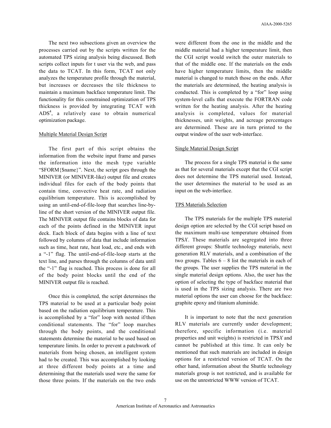The next two subsections given an overview the processes carried out by the scripts written for the automated TPS sizing analysis being discussed. Both scripts collect inputs for t user via the web, and pass the data to TCAT. In this form, TCAT not only analyzes the temperature profile through the material, but increases or decreases the tile thickness to maintain a maximum backface temperature limit. The functionality for this constrained optimization of TPS thickness is provided by integrating TCAT with  $ADS<sup>4</sup>$ , a relatively ease to obtain numerical optimization package.

#### Multiple Material Design Script

The first part of this script obtains the information from the website input frame and parses the information into the mesh type variable "\$FORM{\$name}". Next, the script goes through the MINIVER (or MINIVER-like) output file and creates individual files for each of the body points that contain time, convective heat rate, and radiation equilibrium temperature. This is accomplished by using an until-end-of-file-loop that searches line-byline of the short version of the MINIVER output file. The MINIVER output file contains blocks of data for each of the points defined in the MINIVER input deck. Each block of data begins with a line of text followed by columns of data that include information such as time, heat rate, heat load, etc., and ends with a "-1" flag. The until-end-of-file-loop starts at the text line, and parses through the columns of data until the "-1" flag is reached. This process is done for all of the body point blocks until the end of the MINIVER output file is reached.

Once this is completed, the script determines the TPS material to be used at a particular body point based on the radiation equilibrium temperature. This is accomplished by a "for" loop with nested if/then conditional statements. The "for" loop marches through the body points, and the conditional statements determine the material to be used based on temperature limits. In order to prevent a patchwork of materials from being chosen, an intelligent system had to be created. This was accomplished by looking at three different body points at a time and determining that the materials used were the same for those three points. If the materials on the two ends were different from the one in the middle and the middle material had a higher temperature limit, then the CGI script would switch the outer materials to that of the middle one. If the materials on the ends have higher temperature limits, then the middle material is changed to match those on the ends. After the materials are determined, the heating analysis is conducted. This is completed by a "for" loop using system-level calls that execute the FORTRAN code written for the heating analysis. After the heating analysis is completed, values for material thicknesses, unit weights, and acreage percentages are determined. These are in turn printed to the output window of the user web-interface.

## Single Material Design Script

The process for a single TPS material is the same as that for several materials except that the CGI script does not determine the TPS material used. Instead, the user determines the material to be used as an input on the web-interface.

## TPS Materials Selection

The TPS materials for the multiple TPS material design option are selected by the CGI script based on the maximum multi-use temperature obtained from TPS*X*. These materials are segregated into three different groups: Shuttle technology materials, next generation RLV materials, and a combination of the two groups. Tables  $6 - 8$  list the materials in each of the groups. The user supplies the TPS material in the single material design options. Also, the user has the option of selecting the type of backface material that is used in the TPS sizing analysis. There are two material options the user can choose for the backface: graphite epoxy and titanium aluminide.

It is important to note that the next generation RLV materials are currently under development; therefore, specific information (i.e. material properties and unit weights) is restricted in TPS*X* and cannot be published at this time. It can only be mentioned that such materials are included in design options for a restricted version of TCAT. On the other hand, information about the Shuttle technology materials group is not restricted, and is available for use on the unrestricted WWW version of TCAT.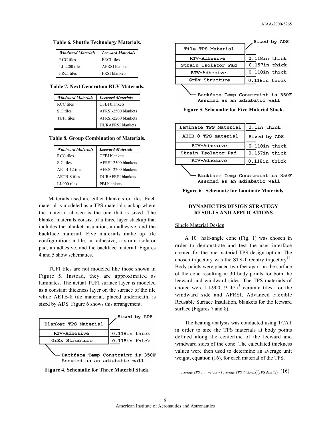## **Table 6. Shuttle Technology Materials.**

| <b>Windward Materials</b> | <b>Leeward Materials</b> |
|---------------------------|--------------------------|
| <b>RCC</b> tiles          | <b>FRCI</b> tiles        |
| $LI-2200$ tiles           | <b>AFRSI</b> blankets    |
| <b>FRCI</b> files         | <b>FRSI</b> blankets     |

#### **Table 7. Next Generation RLV Materials.**

| <b>Windward Materials</b> | <b>Leeward Materials</b> |
|---------------------------|--------------------------|
| <b>RCC</b> tiles          | <b>CFBI</b> blankets     |
| SiC tiles                 | AFRSI-2500 blankets      |
| <b>TUFI</b> tiles         | AFRSI-2200 blankets      |
|                           | <b>DURAFRSI</b> blankets |

#### **Table 8. Group Combination of Materials.**

| <b>Windward Materials</b> | <b>Leeward Materials</b> |
|---------------------------|--------------------------|
| <b>RCC</b> tiles          | <b>CFBI</b> blankets     |
| SiC tiles                 | AFRSI-2500 blankets      |
| AETB-12 tiles             | AFRSI-2200 blankets      |
| AETB-8 tiles              | <b>DURAFRSI</b> blankets |
| LI-900 tiles              | <b>PRI</b> blankets      |

Materials used are either blankets or tiles. Each material is modeled as a TPS material stackup where the material chosen is the one that is sized. The blanket materials consist of a three layer stackup that includes the blanket insulation, an adhesive, and the backface material. Five materials make up tile configuration: a tile, an adhesive, a strain isolator pad, an adhesive, and the backface material. Figures 4 and 5 show schematics.

TUFI tiles are not modeled like those shown in Figure 5. Instead, they are approximated as laminates. The actual TUFI surface layer is modeled as a constant thickness layer on the surface of the tile while AETB-8 tile material, placed underneath, is sized by ADS. Figure 6 shows this arrangement.



**Figure 4. Schematic for Three Material Stack.**

|                                    | Sized by ADS     |
|------------------------------------|------------------|
| Tile TPS Material                  |                  |
| RTV-Adhesive                       | 0.118in thick    |
| Strain Isolator Pad                | $0.157$ in thick |
| RTV-Adhesive                       | $0.118$ in thick |
| GrEx Structure                     | 0.118in thick    |
|                                    |                  |
| - Backface Temp Constraint is 350F |                  |

Assumed as an adiabatic wall

**Figure 5. Schematic for Five Material Stack.**

| Laminate TPS Material                                              | 0.1in thick      |  |  |  |  |  |
|--------------------------------------------------------------------|------------------|--|--|--|--|--|
| AETB-8 TPS material                                                | Sized by ADS     |  |  |  |  |  |
| RTV-Adhesive                                                       | 0.118in thick    |  |  |  |  |  |
| Strain Isolator Pad                                                | 0.157in thick    |  |  |  |  |  |
| RTV-Adhesive                                                       | $0.118$ in thick |  |  |  |  |  |
| — Backface Temp Constraint is 350F<br>Assumed as an adiabatic wall |                  |  |  |  |  |  |

**Figure 6. Schematic for Laminate Materials.**

## **DYNAMIC TPS DESIGN STRATEGY RESULTS AND APPLICATIONS**

#### Single Material Design

A 10° half-angle cone (Fig. 1) was chosen in order to demonstrate and test the user interface created for the one material TPS design option. The chosen trajectory was the STS-1 reentry trajectory<sup>10</sup>. Body points were placed two feet apart on the surface of the cone resulting in 30 body points for both the leeward and windward sides. The TPS materials of choice were LI-900, 9  $lb/ft^3$  ceramic tiles, for the windward side and AFRSI, Advanced Flexible Reusable Surface Insulation, blankets for the leeward surface (Figures 7 and 8).

The heating analysis was conducted using TCAT in order to size the TPS materials at body points defined along the centerline of the leeward and windward sides of the cone. The calculated thickness values were then used to determine an average unit weight, equation (16), for each material of the TPS.

*average TPS unit weight = (average TPS thickness)*  $(TPS$  *density*  $(16)$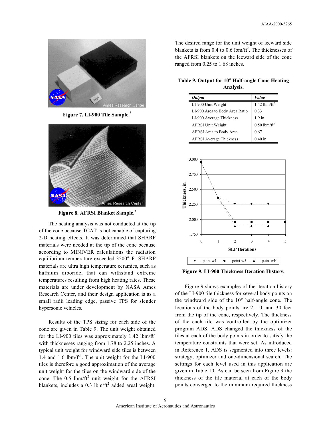

**Figure 7. LI-900 Tile Sample.<sup>3</sup>**



**Figure 8. AFRSI Blanket Sample.<sup>3</sup>**

The heating analysis was not conducted at the tip of the cone because TCAT is not capable of capturing 2-D heating effects. It was determined that SHARP materials were needed at the tip of the cone because according to MINIVER calculations the radiation equilibrium temperature exceeded 3500° F. SHARP materials are ultra high temperature ceramics, such as hafnium diboride, that can withstand extreme temperatures resulting from high heating rates. These materials are under development by NASA Ames Research Center, and their design application is as a small radii leading edge, passive TPS for slender hypersonic vehicles.

Results of the TPS sizing for each side of the cone are given in Table 9. The unit weight obtained for the LI-900 tiles was approximately 1.42  $lbm/ft^2$ with thicknesses ranging from 1.78 to 2.25 inches. A typical unit weight for windward side tiles is between 1.4 and 1.6  $lbm/ft^2$ . The unit weight for the LI-900 tiles is therefore a good approximation of the average unit weight for the tiles on the windward side of the cone. The  $0.5$  lbm/ft<sup>2</sup> unit weight for the AFRSI blankets, includes a 0.3 lbm/ $ft^2$  added areal weight.

The desired range for the unit weight of leeward side blankets is from 0.4 to 0.6  $\text{lbm/fl}^2$ . The thicknesses of the AFRSI blankets on the leeward side of the cone ranged from 0.25 to 1.68 inches.

## **Table 9. Output for 10**° **Half-angle Cone Heating Analysis.**

| <b>Output</b>                  | Value                      |
|--------------------------------|----------------------------|
| LI-900 Unit Weight             | 1.42 $lbm/\text{ft}^2$     |
| LI-900 Area to Body Area Ratio | 0.33                       |
| LI-900 Average Thickness       | $1.9$ in                   |
| <b>AFRSI</b> Unit Weight       | $0.50$ lbm/ft <sup>2</sup> |
| AFRSI Area to Body Area        | 0.67                       |
| <b>AFRSI Average Thickness</b> | $0.40$ in                  |



**Figure 9. LI-900 Thickness Iteration History.**

Figure 9 shows examples of the iteration history of the LI-900 tile thickness for several body points on the windward side of the 10° half-angle cone. The locations of the body points are 2, 10, and 30 feet from the tip of the cone, respectively. The thickness of the each tile was controlled by the optimizer program ADS. ADS changed the thickness of the tiles at each of the body points in order to satisfy the temperature constraints that were set. As introduced in Reference 1, ADS is segmented into three levels: strategy, optimizer and one-dimensional search. The settings for each level used in this application are given in Table 10. As can be seen from Figure 9 the thickness of the tile material at each of the body points converged to the minimum required thickness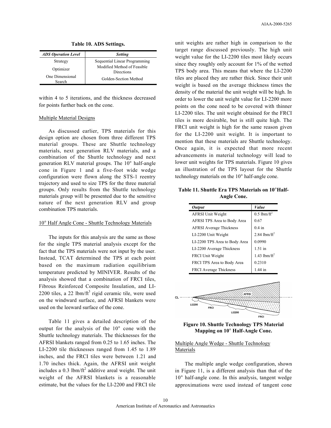| <b>ADS</b> Operation Level | <b>Setting</b>                                   |
|----------------------------|--------------------------------------------------|
| Strategy                   | Sequential Linear Programming                    |
| Optimizer                  | Modified Method of Feasible<br><b>Directions</b> |
| One Dimensional<br>Search  | Golden-Section Method                            |

**Table 10. ADS Settings.**

within 4 to 5 iterations, and the thickness decreased for points further back on the cone.

#### Multiple Material Designs

As discussed earlier, TPS materials for this design option are chosen from three different TPS material groups. These are Shuttle technology materials, next generation RLV materials, and a combination of the Shuttle technology and next generation RLV material groups. The 10° half-angle cone in Figure 1 and a five-foot wide wedge configuration were flown along the STS-1 reentry trajectory and used to size TPS for the three material groups. Only results from the Shuttle technology materials group will be presented due to the sensitive nature of the next generation RLV and group combination TPS materials.

## 10° Half Angle Cone - Shuttle Technology Materials

The inputs for this analysis are the same as those for the single TPS material analysis except for the fact that the TPS materials were not input by the user. Instead, TCAT determined the TPS at each point based on the maximum radiation equilibrium temperature predicted by MINIVER. Results of the analysis showed that a combination of FRCI tiles, Fibrous Reinforced Composite Insulation, and LI- $2200$  tiles, a 22 lbm/ft<sup>3</sup> rigid ceramic tile, were used on the windward surface, and AFRSI blankets were used on the leeward surface of the cone.

Table 11 gives a detailed description of the output for the analysis of the 10° cone with the Shuttle technology materials. The thicknesses for the AFRSI blankets ranged from 0.25 to 1.65 inches. The LI-2200 tile thicknesses ranged from 1.45 to 1.89 inches, and the FRCI tiles were between 1.21 and 1.70 inches thick. Again, the AFRSI unit weight includes a 0.3 lbm/ $ft^2$  additive areal weight. The unit weight of the AFRSI blankets is a reasonable estimate, but the values for the LI-2200 and FRCI tile unit weights are rather high in comparison to the target range discussed previously. The high unit weight value for the LI-2200 tiles most likely occurs since they roughly only account for 1% of the wetted TPS body area. This means that where the LI-2200 tiles are placed they are rather thick. Since their unit weight is based on the average thickness times the density of the material the unit weight will be high. In order to lower the unit weight value for LI-2200 more points on the cone need to be covered with thinner LI-2200 tiles. The unit weight obtained for the FRCI tiles is more desirable, but is still quite high. The FRCI unit weight is high for the same reason given for the LI-2200 unit weight. It is important to mention that these materials are Shuttle technology. Once again, it is expected that more recent advancements in material technology will lead to lower unit weights for TPS materials. Figure 10 gives an illustration of the TPS layout for the Shuttle technology materials on the 10° half-angle cone.

## **Table 11. Shuttle Era TPS Materials on 10**°**Half-Angle Cone.**

| <b>Output</b>                  | Value            |
|--------------------------------|------------------|
| AFRSI Unit Weight              | $0.5$ lbm/ $ft2$ |
| AFRSI TPS Area to Body Area    | 0.67             |
| <b>AFRSI</b> Average Thickness | $0.4$ in         |
| LI-2200 Unit Weight            | 2.84 lbm/ $ft^2$ |
| LI-2200 TPS Area to Body Area  | 0.0990           |
| LI-2200 Average Thickness      | $1.51$ in        |
| <b>FRCI Unit Weight</b>        | 1.43 lbm/ $ft^2$ |
| FRCI TPS Area to Body Area     | 0.2310           |
| FRCI Average Thickness         | $1.44$ in        |



**Figure 10. Shuttle Technology TPS Material Mapping on 10**° **Half-Angle Cone.**

## Multiple Angle Wedge - Shuttle Technology Materials

The multiple angle wedge configuration, shown in Figure 11, is a different analysis than that of the 10° half-angle cone. In this analysis, tangent wedge approximations were used instead of tangent cone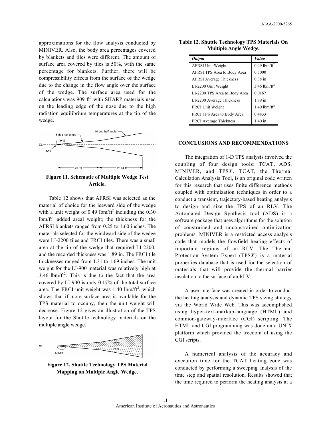approximations for the flow analysis conducted by MINIVER. Also, the body area percentages covered by blankets and tiles were different. The amount of surface area covered by tiles is 50%, with the same percentage for blankets. Further, there will be compressibility effects from the surface of the wedge due to the change in the flow angle over the surface of the wedge. The surface area used for the calculations was 909  $\text{ft}^2$  with SHARP materials used on the leading edge of the nose due to the high radiation equilibrium temperatures at the tip of the wedge.



**Figure 11. Schematic of Multiple Wedge Test Article.**

Table 12 shows that AFRSI was selected as the material of choice for the leeward side of the wedge with a unit weight of 0.49 lbm/ $\text{ft}^2$  including the 0.30  $lbm/ft^2$  added areal weight; the thickness for the AFRSI blankets ranged from 0.25 to 1.60 inches. The materials selected for the windward side of the wedge were LI-2200 tiles and FRCI tiles. There was a small area at the tip of the wedge that required LI-2200, and the recorded thickness was 1.89 in. The FRCI tile thicknesses ranged from 1.31 to 1.69 inches. The unit weight for the LI-900 material was relatively high at  $3.46$  lbm/ft<sup>2</sup>. This is due to the fact that the area covered by LI-900 is only 0.17% of the total surface area. The FRCI unit weight was  $1.40$  lbm/ft<sup>2</sup>, which shows that if more surface area is available for the TPS material to occupy, then the unit weight will decrease. Figure 12 gives an illustration of the TPS layout for the Shuttle technology materials on the multiple angle wedge.



**Figure 12. Shuttle Technology TPS Material Mapping on Multiple Angle Wedge.**

| <b>Output</b>                  | Value                   |
|--------------------------------|-------------------------|
| AFRSI Unit Weight              | $0.49$ lbm/ $ft2$       |
| AFRSI TPS Area to Body Area    | 0.5000                  |
| <b>AFRSI</b> Average Thickness | $0.38$ in               |
| LI-2200 Unit Weight            | 3.46 lbm/ $\text{ft}^2$ |
| LI-2200 TPS Area to Body Area  | 0.0167                  |
| LI-2200 Average Thickness      | $1.89$ in               |
| <b>FRCI</b> Unit Weight        | 1.40 lbm/ $ft^2$        |
| FRCI TPS Area to Body Area     | 0.4833                  |
| <b>FRCI</b> Average Thickness  | $1.40$ in               |

#### **Table 12. Shuttle Technology TPS Materials On Multiple Angle Wedge.**

## **CONCLUSIONS AND RECOMMENDATIONS**

The integration of 1-D TPS analysis involved the coupling of four design tools: TCAT, ADS, MINIVER, and TPS*X* . TCAT, the Thermal Calculation Analysis Tool, is an original code written for this research that uses finite difference methods coupled with optimization techniques in order to a conduct a transient, trajectory-based heating analysis to design and size the TPS of an RLV. The Automated Design Synthesis tool (ADS) is a software package that uses algorithms for the solution of constrained and unconstrained optimization problems. MINIVER is a restricted access analysis code that models the flowfield heating effects of important regions of an RLV. The Thermal Protection System Expert (TPSX) is a material properties database that is used for the selection of materials that will provide the thermal barrier insulation to the surface of an RLV.

A user interface was created in order to conduct the heating analysis and dynamic TPS sizing strategy via the World Wide Web. This was accomplished using hyper-text-markup-language (HTML) and common-gateway-interface (CGI) scripting. The HTML and CGI programming was done on a UNIX platform which provided the freedom of using the CGI scripts.

A numerical analysis of the accuracy and execution time for the TCAT heating code was conducted by performing a sweeping analysis of the time step and spatial resolution. Results showed that the time required to perform the heating analysis at a